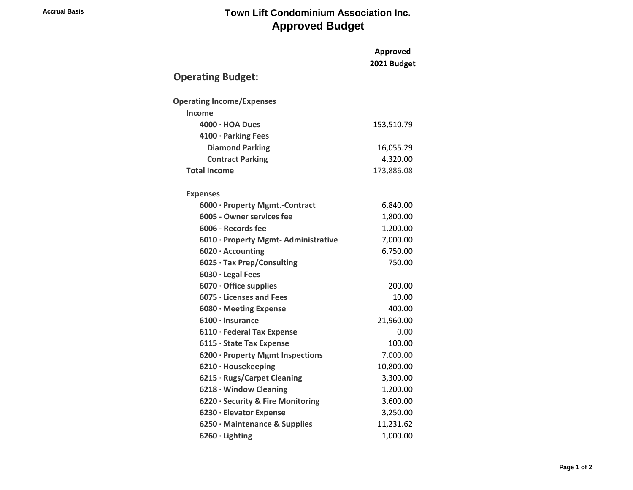## **Accrual Basis Town Lift Condominium Association Inc. Approved Budget**

|                                                   | Approved    |
|---------------------------------------------------|-------------|
|                                                   | 2021 Budget |
| <b>Operating Budget:</b>                          |             |
| <b>Operating Income/Expenses</b>                  |             |
| <b>Income</b>                                     |             |
| $4000 \cdot HOA$ Dues                             | 153,510.79  |
| 4100 · Parking Fees                               |             |
| <b>Diamond Parking</b>                            | 16,055.29   |
| <b>Contract Parking</b>                           | 4,320.00    |
| <b>Total Income</b>                               | 173,886.08  |
|                                                   |             |
| <b>Expenses</b><br>6000 · Property Mgmt.-Contract | 6,840.00    |
| 6005 - Owner services fee                         | 1,800.00    |
| 6006 - Records fee                                | 1,200.00    |
| 6010 · Property Mgmt-Administrative               | 7,000.00    |
| 6020 · Accounting                                 | 6,750.00    |
| 6025 · Tax Prep/Consulting                        | 750.00      |
| 6030 · Legal Fees                                 |             |
| $6070 \cdot$ Office supplies                      | 200.00      |
| $6075 \cdot$ Licenses and Fees                    | 10.00       |
| 6080 · Meeting Expense                            | 400.00      |
| $6100 \cdot$ Insurance                            | 21,960.00   |
| 6110 · Federal Tax Expense                        | 0.00        |
| 6115 · State Tax Expense                          | 100.00      |
| 6200 · Property Mgmt Inspections                  | 7,000.00    |
| 6210 · Housekeeping                               | 10,800.00   |
| 6215 · Rugs/Carpet Cleaning                       | 3,300.00    |
| 6218 · Window Cleaning                            | 1,200.00    |
| 6220 · Security & Fire Monitoring                 | 3,600.00    |
| 6230 · Elevator Expense                           | 3,250.00    |
| 6250 · Maintenance & Supplies                     | 11,231.62   |
| $6260 \cdot$ Lighting                             | 1,000.00    |